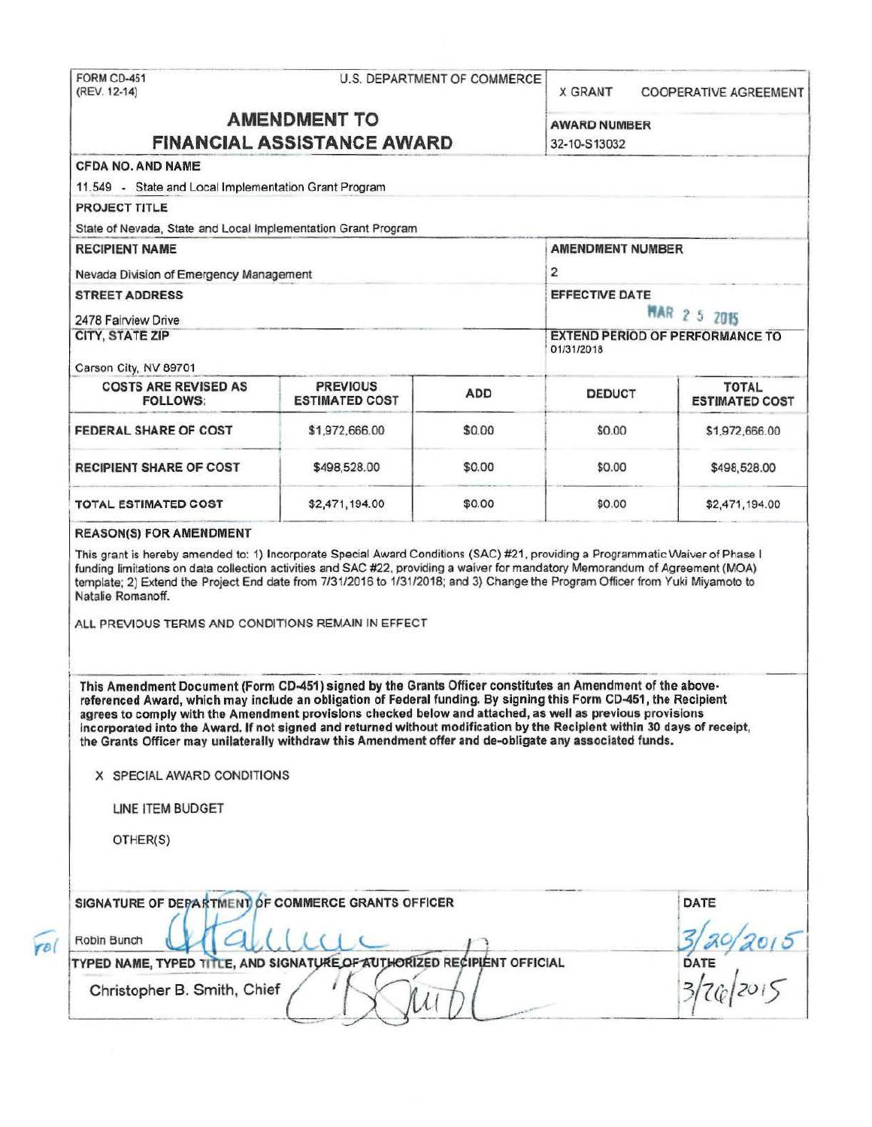FORM CD-451 **U.S. DEPARTMENT OF COMMERCE** (REV. 12-14) **X GRANT COOPERATIVE AGREEMENT AMENDMENT TO AWARD NUMBER FINANCIAL ASSISTANCE AWARD** 32-10-S13032 CFDA NO. AND NAME 11.549 - State and Local Implementation Grant Program **PROJECT TITLE** State of Nevada, State and Local Implementation Grant Program **RECIPIENT NAME AMENDMENT NUMBER** 2 Nevada Division of Emergency Management **STREET ADDRESS EFFECTIVE DATE MAR 2 5 2015** 2478 Fairview Drive **CITY, STATE ZIP EXTEND PERIOD OF PERFORMANCE TO** 01/31/2018 Carson City, NV 89701 **COSTS ARE REVISED AS PREVIOUS TOTAL ADD** DEDUCT **FOLLOWS: ESTIMATED COST ESTIMATED COST** \$1,972,666.00 FEDERAL SHARE OF COST \$0.00 \$0.00 \$1,972,666.00 **RECIPIENT SHARE OF COST** \$0.00 \$0.00 \$498,528.00 \$498,528.00 **TOTAL ESTIMATED COST** \$2,471,194.00 \$0.00 \$0.00 \$2,471,194.00 **REASON(S) FOR AMENDMENT** This grant is hereby amended to: 1) Incorporate Special Award Conditions (SAC) #21, providing a Programmatic Waiver of Phase I funding limitations on data collection activities and SAC #22, providing a waiver for mandatory Memorandum of Agreement (MOA) template; 2) Extend the Project End date from 7/31/2016 to 1/31/2018; and 3) Change the Program Officer from Yuki Miyamoto to Natalie Romanoff. ALL PREVIOUS TERMS AND CONDITIONS REMAIN IN EFFECT This Amendment Document (Form CD-451) signed by the Grants Officer constitutes an Amendment of the abovereferenced Award, which may include an obligation of Federal funding. By signing this Form CD-451, the Recipient agrees to comply with the Amendment provisions checked below and attached, as well as previous provisions incorporated into the Award. If not signed and returned without modification by the Recipient within 30 days of receipt, the Grants Officer may unilaterally withdraw this Amendment offer and de-obligate any associated funds. X SPECIAL AWARD CONDITIONS LINE ITEM BUDGET OTHER(S) SIGNATURE OF DEPARTMENT OF COMMERCE GRANTS OFFICER DATE 3/20/2015<br>DATE<br>3/76/2015 Robin Bunch TYPED NAME, TYPED TITLE, AND SIGNATURE OF AUTHORIZED RECIPIENT OFFICIAL Christopher B. Smith, Chief

rol